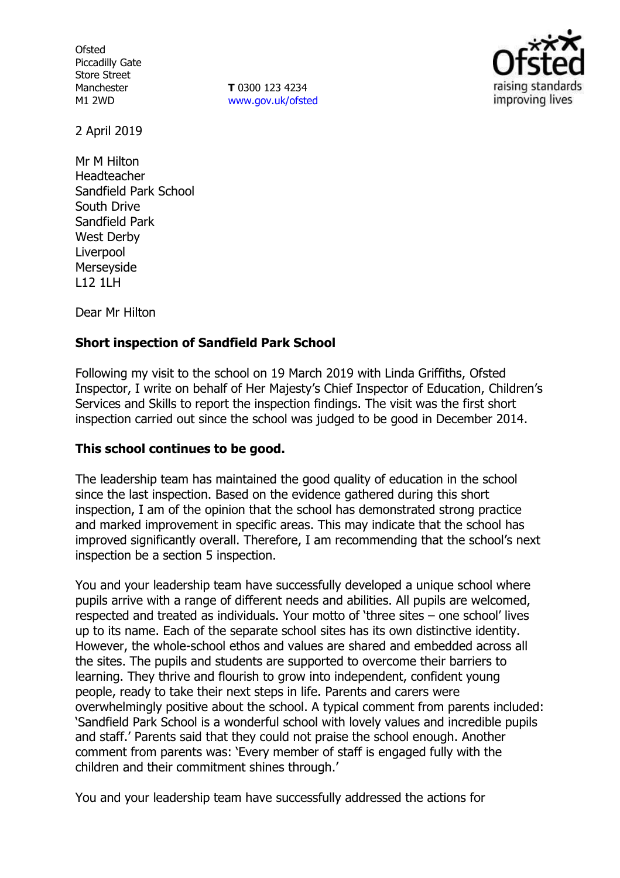**Ofsted** Piccadilly Gate Store Street Manchester M1 2WD

**T** 0300 123 4234 www.gov.uk/ofsted



2 April 2019

Mr M Hilton Headteacher Sandfield Park School South Drive Sandfield Park West Derby Liverpool Merseyside L12 1LH

Dear Mr Hilton

## **Short inspection of Sandfield Park School**

Following my visit to the school on 19 March 2019 with Linda Griffiths, Ofsted Inspector, I write on behalf of Her Majesty's Chief Inspector of Education, Children's Services and Skills to report the inspection findings. The visit was the first short inspection carried out since the school was judged to be good in December 2014.

### **This school continues to be good.**

The leadership team has maintained the good quality of education in the school since the last inspection. Based on the evidence gathered during this short inspection, I am of the opinion that the school has demonstrated strong practice and marked improvement in specific areas. This may indicate that the school has improved significantly overall. Therefore, I am recommending that the school's next inspection be a section 5 inspection.

You and your leadership team have successfully developed a unique school where pupils arrive with a range of different needs and abilities. All pupils are welcomed, respected and treated as individuals. Your motto of 'three sites – one school' lives up to its name. Each of the separate school sites has its own distinctive identity. However, the whole-school ethos and values are shared and embedded across all the sites. The pupils and students are supported to overcome their barriers to learning. They thrive and flourish to grow into independent, confident young people, ready to take their next steps in life. Parents and carers were overwhelmingly positive about the school. A typical comment from parents included: 'Sandfield Park School is a wonderful school with lovely values and incredible pupils and staff.' Parents said that they could not praise the school enough. Another comment from parents was: 'Every member of staff is engaged fully with the children and their commitment shines through.'

You and your leadership team have successfully addressed the actions for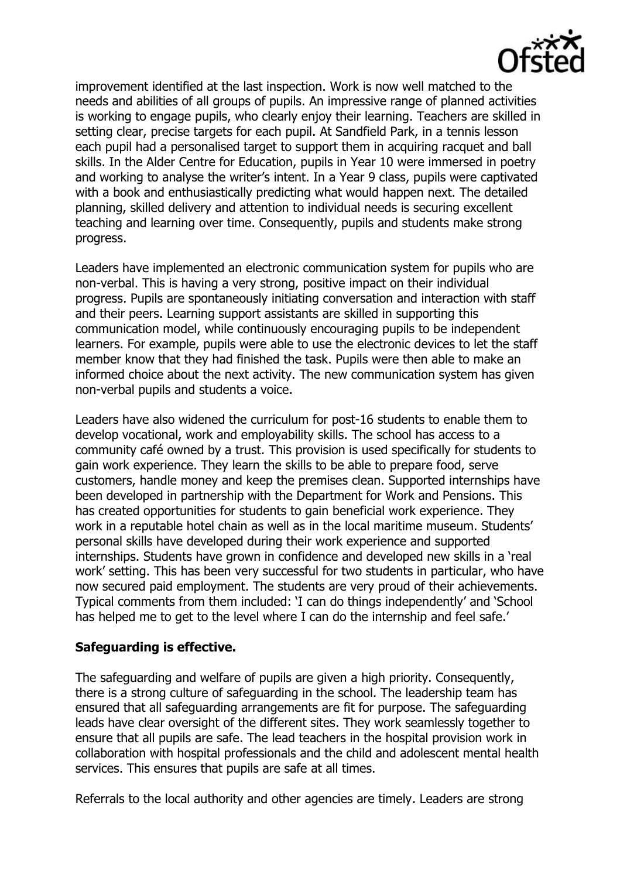

improvement identified at the last inspection. Work is now well matched to the needs and abilities of all groups of pupils. An impressive range of planned activities is working to engage pupils, who clearly enjoy their learning. Teachers are skilled in setting clear, precise targets for each pupil. At Sandfield Park, in a tennis lesson each pupil had a personalised target to support them in acquiring racquet and ball skills. In the Alder Centre for Education, pupils in Year 10 were immersed in poetry and working to analyse the writer's intent. In a Year 9 class, pupils were captivated with a book and enthusiastically predicting what would happen next. The detailed planning, skilled delivery and attention to individual needs is securing excellent teaching and learning over time. Consequently, pupils and students make strong progress.

Leaders have implemented an electronic communication system for pupils who are non-verbal. This is having a very strong, positive impact on their individual progress. Pupils are spontaneously initiating conversation and interaction with staff and their peers. Learning support assistants are skilled in supporting this communication model, while continuously encouraging pupils to be independent learners. For example, pupils were able to use the electronic devices to let the staff member know that they had finished the task. Pupils were then able to make an informed choice about the next activity. The new communication system has given non-verbal pupils and students a voice.

Leaders have also widened the curriculum for post-16 students to enable them to develop vocational, work and employability skills. The school has access to a community café owned by a trust. This provision is used specifically for students to gain work experience. They learn the skills to be able to prepare food, serve customers, handle money and keep the premises clean. Supported internships have been developed in partnership with the Department for Work and Pensions. This has created opportunities for students to gain beneficial work experience. They work in a reputable hotel chain as well as in the local maritime museum. Students' personal skills have developed during their work experience and supported internships. Students have grown in confidence and developed new skills in a 'real work' setting. This has been very successful for two students in particular, who have now secured paid employment. The students are very proud of their achievements. Typical comments from them included: 'I can do things independently' and 'School has helped me to get to the level where I can do the internship and feel safe.'

### **Safeguarding is effective.**

The safeguarding and welfare of pupils are given a high priority. Consequently, there is a strong culture of safeguarding in the school. The leadership team has ensured that all safeguarding arrangements are fit for purpose. The safeguarding leads have clear oversight of the different sites. They work seamlessly together to ensure that all pupils are safe. The lead teachers in the hospital provision work in collaboration with hospital professionals and the child and adolescent mental health services. This ensures that pupils are safe at all times.

Referrals to the local authority and other agencies are timely. Leaders are strong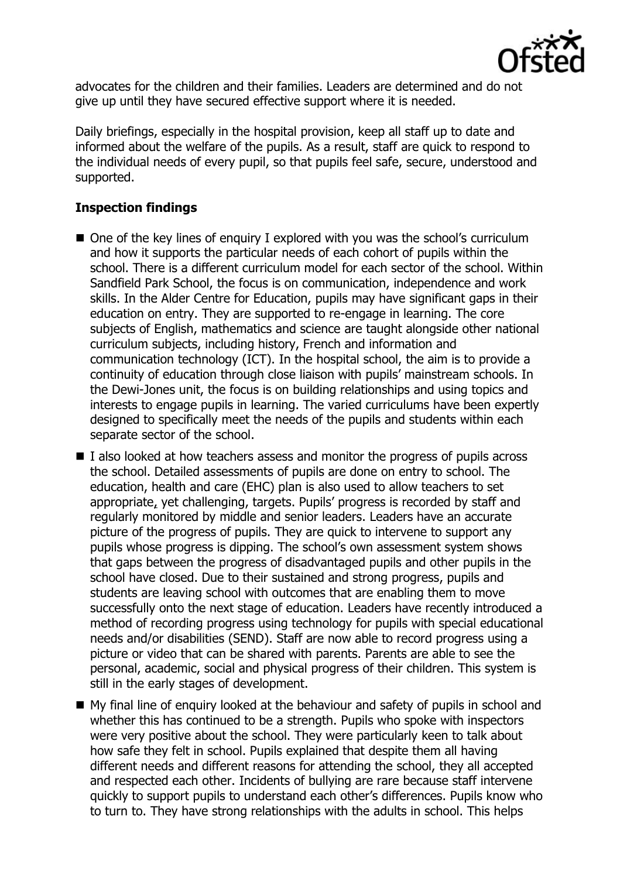

advocates for the children and their families. Leaders are determined and do not give up until they have secured effective support where it is needed.

Daily briefings, especially in the hospital provision, keep all staff up to date and informed about the welfare of the pupils. As a result, staff are quick to respond to the individual needs of every pupil, so that pupils feel safe, secure, understood and supported.

# **Inspection findings**

- One of the key lines of enquiry I explored with you was the school's curriculum and how it supports the particular needs of each cohort of pupils within the school. There is a different curriculum model for each sector of the school. Within Sandfield Park School, the focus is on communication, independence and work skills. In the Alder Centre for Education, pupils may have significant gaps in their education on entry. They are supported to re-engage in learning. The core subjects of English, mathematics and science are taught alongside other national curriculum subjects, including history, French and information and communication technology (ICT). In the hospital school, the aim is to provide a continuity of education through close liaison with pupils' mainstream schools. In the Dewi-Jones unit, the focus is on building relationships and using topics and interests to engage pupils in learning. The varied curriculums have been expertly designed to specifically meet the needs of the pupils and students within each separate sector of the school.
- I also looked at how teachers assess and monitor the progress of pupils across the school. Detailed assessments of pupils are done on entry to school. The education, health and care (EHC) plan is also used to allow teachers to set appropriate, yet challenging, targets. Pupils' progress is recorded by staff and regularly monitored by middle and senior leaders. Leaders have an accurate picture of the progress of pupils. They are quick to intervene to support any pupils whose progress is dipping. The school's own assessment system shows that gaps between the progress of disadvantaged pupils and other pupils in the school have closed. Due to their sustained and strong progress, pupils and students are leaving school with outcomes that are enabling them to move successfully onto the next stage of education. Leaders have recently introduced a method of recording progress using technology for pupils with special educational needs and/or disabilities (SEND). Staff are now able to record progress using a picture or video that can be shared with parents. Parents are able to see the personal, academic, social and physical progress of their children. This system is still in the early stages of development.
- My final line of enquiry looked at the behaviour and safety of pupils in school and whether this has continued to be a strength. Pupils who spoke with inspectors were very positive about the school. They were particularly keen to talk about how safe they felt in school. Pupils explained that despite them all having different needs and different reasons for attending the school, they all accepted and respected each other. Incidents of bullying are rare because staff intervene quickly to support pupils to understand each other's differences. Pupils know who to turn to. They have strong relationships with the adults in school. This helps